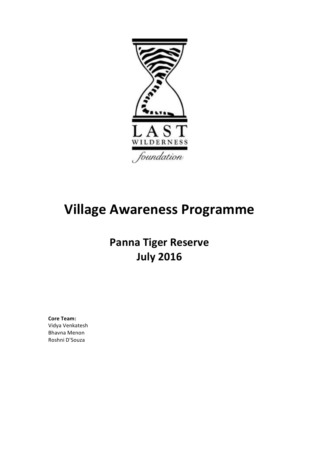

# **Village Awareness Programme**

# **Panna Tiger Reserve July 2016**

**Core Team:** Vidya Venkatesh **Bhavna Menon** Roshni D'Souza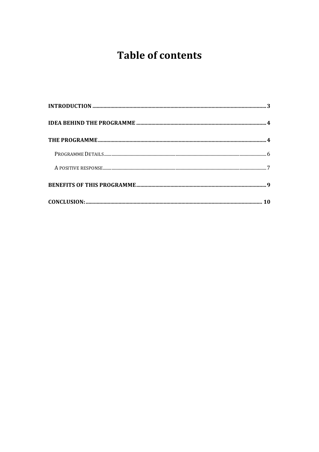# **Table of contents**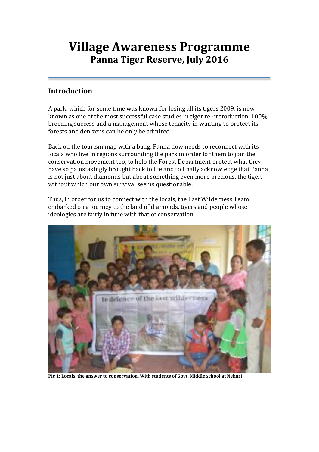## **Village Awareness Programme** Panna Tiger Reserve, July 2016

### **Introduction**

A park, which for some time was known for losing all its tigers 2009, is now known as one of the most successful case studies in tiger re-introduction, 100% breeding success and a management whose tenacity in wanting to protect its forests and denizens can be only be admired.

Back on the tourism map with a bang, Panna now needs to reconnect with its locals who live in regions surrounding the park in order for them to join the conservation movement too, to help the Forest Department protect what they have so painstakingly brought back to life and to finally acknowledge that Panna is not just about diamonds but about something even more precious, the tiger, without which our own survival seems questionable.

Thus, in order for us to connect with the locals, the Last Wilderness Team embarked on a journey to the land of diamonds, tigers and people whose ideologies are fairly in tune with that of conservation.



Pic 1: Locals, the answer to conservation. With students of Govt. Middle school at Nehari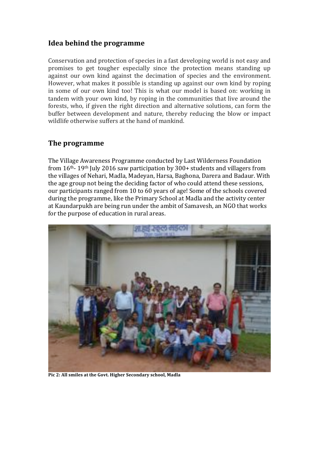### Idea behind the programme

Conservation and protection of species in a fast developing world is not easy and promises to get tougher especially since the protection means standing up against our own kind against the decimation of species and the environment. However, what makes it possible is standing up against our own kind by roping in some of our own kind too! This is what our model is based on: working in tandem with your own kind, by roping in the communities that live around the forests, who, if given the right direction and alternative solutions, can form the buffer between development and nature, thereby reducing the blow or impact wildlife otherwise suffers at the hand of mankind.

### The programme

The Village Awareness Programme conducted by Last Wilderness Foundation from  $16<sup>th</sup>$ - 19<sup>th</sup> July 2016 saw participation by 300+ students and villagers from the villages of Nehari, Madla, Madevan, Harsa, Baghona, Darera and Badaur. With the age group not being the deciding factor of who could attend these sessions, our participants ranged from 10 to 60 years of age! Some of the schools covered during the programme, like the Primary School at Madla and the activity center at Kaundarpukh are being run under the ambit of Samavesh, an NGO that works for the purpose of education in rural areas.



Pic 2: All smiles at the Govt. Higher Secondary school, Madla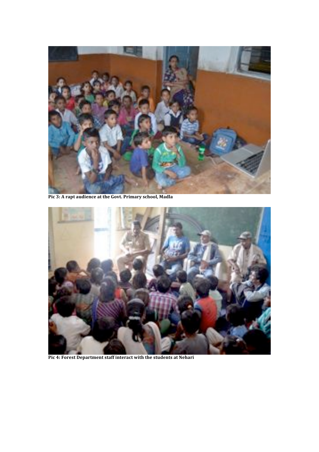

Pic 3: A rapt audience at the Govt. Primary school, Madla



Pic 4: Forest Department staff interact with the students at Nehari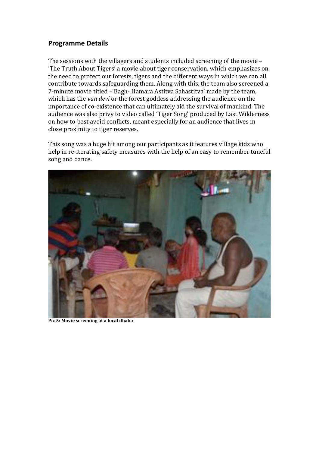#### **Programme Details**

The sessions with the villagers and students included screening of the movie -'The Truth About Tigers' a movie about tiger conservation, which emphasizes on the need to protect our forests, tigers and the different ways in which we can all contribute towards safeguarding them. Along with this, the team also screened a 7-minute movie titled - Bagh-Hamara Astitva Sahastitva' made by the team. which has the van devi or the forest goddess addressing the audience on the importance of co-existence that can ultimately aid the survival of mankind. The audience was also privy to video called 'Tiger Song' produced by Last Wilderness on how to best avoid conflicts, meant especially for an audience that lives in close proximity to tiger reserves.

This song was a huge hit among our participants as it features village kids who help in re-iterating safety measures with the help of an easy to remember tuneful song and dance.



Pic 5: Movie screening at a local dhaba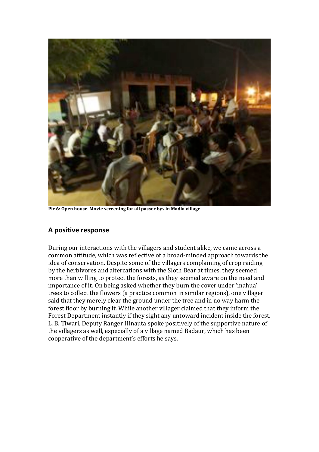

Pic 6: Open house. Movie screening for all passer bys in Madla village

#### A positive response

During our interactions with the villagers and student alike, we came across a common attitude, which was reflective of a broad-minded approach towards the idea of conservation. Despite some of the villagers complaining of crop raiding by the herbivores and altercations with the Sloth Bear at times, they seemed more than willing to protect the forests, as they seemed aware on the need and importance of it. On being asked whether they burn the cover under 'mahua' trees to collect the flowers (a practice common in similar regions), one villager said that they merely clear the ground under the tree and in no way harm the forest floor by burning it. While another villager claimed that they inform the Forest Department instantly if they sight any untoward incident inside the forest. L. B. Tiwari, Deputy Ranger Hinauta spoke positively of the supportive nature of the villagers as well, especially of a village named Badaur, which has been cooperative of the department's efforts he says.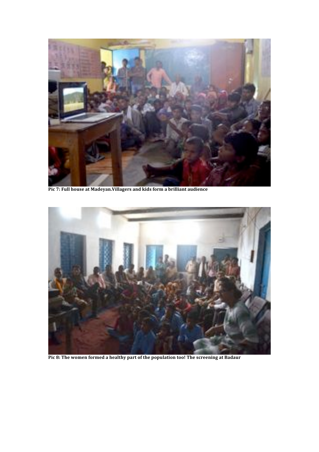

Pic 7: Full house at Madeyan. Villagers and kids form a brilliant audience



Pic 8: The women formed a healthy part of the population too! The screening at Badaur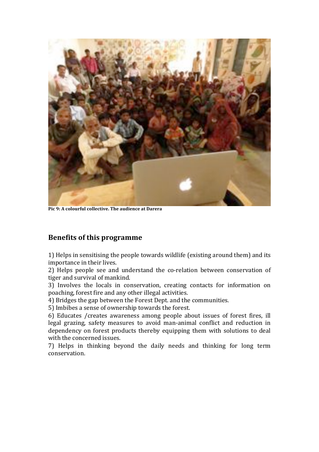

Pic 9: A colourful collective. The audience at Darera

#### **Benefits of this programme**

1) Helps in sensitising the people towards wildlife (existing around them) and its importance in their lives.

2) Helps people see and understand the co-relation between conservation of tiger and survival of mankind.

3) Involves the locals in conservation, creating contacts for information on poaching, forest fire and any other illegal activities.

4) Bridges the gap between the Forest Dept. and the communities.

5) Imbibes a sense of ownership towards the forest.

6) Educates / creates awareness among people about issues of forest fires, ill legal grazing, safety measures to avoid man-animal conflict and reduction in dependency on forest products thereby equipping them with solutions to deal with the concerned issues.

7) Helps in thinking beyond the daily needs and thinking for long term conservation.